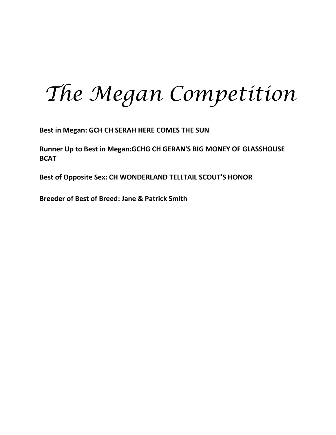# *The Megan Competition*

**Best in Megan: GCH CH SERAH HERE COMES THE SUN**

**Runner Up to Best in Megan:GCHG CH GERAN'S BIG MONEY OF GLASSHOUSE BCAT**

**Best of Opposite Sex: CH WONDERLAND TELLTAIL SCOUT'S HONOR**

**Breeder of Best of Breed: Jane & Patrick Smith**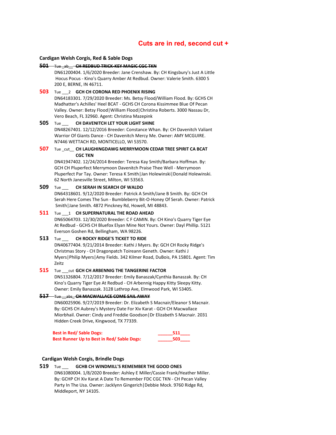# **Cuts are in red, second cut +**

### **Cardigan Welsh Corgis, Red & Sable Dogs**

### **501** Tue \_ab\_\_ **CH REDBUD TRICK-KEY MAGIC CGC TKN**

DN61200404. 1/6/2020 Breeder: Jane Crenshaw. By: CH Kingsbury's Just A Little Hocus Pocus - Kino's Quarry Amber At Redbud. Owner: Valerie Smith. 6300 S 200 E, BERNE, IN 46711.

# **503** Tue \_\_\_2 **GCH CH CORONA RED PHOENIX RISING**

DN64183301. 7/29/2020 Breeder: Ms. Betsy Flood/William Flood. By: GCHS CH Madhatter's Achilles' Heel BCAT - GCHS CH Corona Kissimmee Blue Of Pecan Valley. Owner: Betsy Flood|William Flood|Christina Roberts. 3000 Nassau Dr, Vero Beach, FL 32960. Agent: Christina Mazepink

# **505** Tue \_\_\_ **CH DAVENITCH LET YOUR LIGHT SHINE**

DN48267401. 12/12/2016 Breeder: Constance Whan. By: CH Davenitch Valiant Warrior Of Giants Dance - CH Davenitch Mercy Me. Owner: AMY MCGUIRE. N7446 WETTACH RD, MONTICELLO, WI 53570.

# **507** Tue cut CH LAUGHINGDAWG MERRYMOON CEDAR TREE SPIRIT CA BCAT **CGC TKN**

DN41947402. 12/24/2014 Breeder: Teresa Kay Smith/Barbara Hoffman. By: GCH CH Pluperfect Merrymoon Davenitch Praise Thee Well - Merrymoon Pluperfect Par Tay. Owner: Teresa K Smith|Jan Holewinski|Donald Holewinski. 62 North Janesville Street, Milton, WI 53563.

# **509** Tue \_\_\_ **CH SERAH IN SEARCH OF WALDO**

DN64318601. 9/12/2020 Breeder: Patrick A Smith/Jane B Smith. By: GCH CH Serah Here Comes The Sun - Bumbleberry Bit-O-Honey Of Serah. Owner: Patrick Smith|Jane Smith. 4872 Pinckney Rd, Howell, MI 48843.

### **511** Tue \_\_\_1 **CH SUPERNATURAL THE ROAD AHEAD**

DN65064703. 12/30/2020 Breeder: C F CAMIN. By: CH Kino's Quarry Tiger Eye At Redbud - GCHS CH Bluefox Elyan Mine Not Yours. Owner: Dayl Phillip. 5121 Everson Goshen Rd, Bellingham, WA 98226.

# **513** Tue \_\_\_ **CH ROCKY RIDGE'S TICKET TO RIDE**

DN40677404. 9/21/2014 Breeder: Kathi J Myers. By: GCH CH Rocky Ridge's Christmas Story - CH Dragonpatch Toireann Geneth. Owner: Kathi J Myers|Philip Myers|Amy Fields. 342 Kilmer Road, DuBois, PA 15801. Agent: Tim Zeitz

# **515** Tue \_\_\_cut **GCH CH ARBENNIG THE TANGERINE FACTOR**

DN51326804. 7/12/2017 Breeder: Emily Banaszak/Cynthia Banaszak. By: CH Kino's Quarry Tiger Eye At Redbud - CH Arbennig Happy Kitty Sleepy Kitty. Owner: Emily Banaszak. 3128 Lathrop Ave, Elmwood Park, WI 53405.

# **517** Tue \_\_abs\_ **CH MACWALLACE COME SAIL AWAY**

DN60025906. 9/27/2019 Breeder: Dr. Elizabeth S Macnair/Eleanor S Macnair. By: GCHS CH Aubrey's Mystery Date For Xiv Karat - GCH CH Macwallace Miorbhail. Owner: Cindy and Freddie Goodson|Dr Elizabeth S Macnair. 2031 Hidden Creek Drive, Kingwood, TX 77339.

| <b>Best in Red/ Sable Dogs:</b>            | 511 |
|--------------------------------------------|-----|
| Best Runner Up to Best in Red/ Sable Dogs: | 503 |

# **Cardigan Welsh Corgis, Brindle Dogs**

# **519** Tue \_\_\_ **GCHB CH WINDMILL'S REMEMBER THE GOOD ONES** DN61080004. 1/8/2020 Breeder: Ashley E Miller/Cassie Frank/Heather Miller. By: GCHP CH Xiv Karat A Date To Remember FDC CGC TKN - CH Pecan Valley Party In The Usa. Owner: Jacklynn Gingerich|Debbie Mock. 9760 Ridge Rd, Middleport, NY 14105.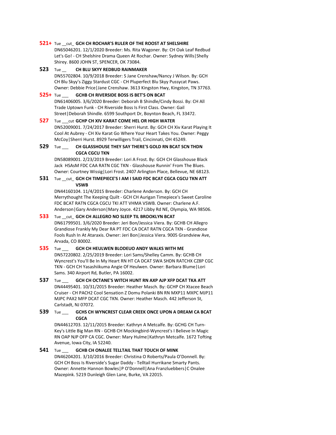### **521+** Tue \_\_cut\_ **GCH CH ROCHAR'S RULER OF THE ROOST AT SHELSHIRE**

DN65046201. 12/1/2020 Breeder: Ms. Rita Wagoner. By: CH Oak Leaf Redbud Let's Go! - CH Shelshire Drama Queen At Rochar. Owner: Sydney Wills|Shelly Shirey. 8600 JOHN ST, SPENCER, OK 73084.

**523** Tue \_\_ **CH BLU SKYY REDBUD RAINMAKER** DN55702804. 10/9/2018 Breeder: S Jane Crenshaw/Nancy J Wilson. By: GCH CH Blu Skyy's Ziggy Stardust CGC - CH Pluperfect Blu Skyy Pussycat Paws. Owner: Debbie Price|Jane Crenshaw. 3613 Kingston Hwy, Kingston, TN 37763.

# **525+** Tue \_\_\_ **GCHB CH RIVERSIDE BOSS IS BET'S ON BCAT**

DN61406005. 3/6/2020 Breeder: Deborah B Shindle/Cindy Bossi. By: CH All Trade Uptown Funk - CH Riverside Boss Is First Class. Owner: Gail Street|Deborah Shindle. 6599 Southport Dr, Boynton Beach, FL 33472.

# **527** Tue \_\_\_cut **GCHP CH XIV KARAT COME HEL OR HIGH WATER**

DN52009001. 7/24/2017 Breeder: Sherri Hurst. By: GCH CH Xiv Karat Playing It Cool At Aubrey - CH Xiv Karat Go Where Your Heart Takes You. Owner: Peggy McCoy|Sherri Hurst. 8929 Terwilligers Trail, Cincinnati, OH 45249.

# **529** Tue \_\_\_ **CH GLASSHOUSE THEY SAY THERE'S GOLD RN BCAT SCN THDN CGCA CGCU TKN**

DN58089001. 2/23/2019 Breeder: Lori A Frost. By: GCH CH Glasshouse Black Jack HSAsM FDC CAA RATN CGC TKN - Glasshouse Runnin' From The Blues. Owner: Courtney Wissig|Lori Frost. 2407 Arlington Place, Bellevue, NE 68123.

### **531** Tue \_\_cut\_ **GCH CH TIMEPIECE'S I AM I SAID FDC BCAT CGCA CGCU TKN ATT VSWB**

DN44160104. 11/4/2015 Breeder: Charlene Anderson. By: GCH CH Merrythought The Keeping Quilt - GCH CH Aurigan Timepiece's Sweet Caroline FDC BCAT RATN CGCA CGCU TKI ATT VHMA VSWB. Owner: Charlene A.F. Anderson|Gary Anderson|Mary Joyce. 4217 Libby Rd NE, Olympia, WA 98506.

# **533** Tue \_\_cut\_ **GCH CH ALLEGRO NO SLEEP TIL BROOKLYN BCAT**

DN61799501. 3/6/2020 Breeder: Jeri Bon/Jessica Viera. By: GCHB CH Allegro Grandiose Frankly My Dear RA PT FDC CA DCAT RATN CGCA TKN - Grandiose Fools Rush In At Ataraxis. Owner: Jeri Bon|Jessica Viera. 9005 Grandview Ave, Arvada, CO 80002.

# **535** Tue \_\_\_ **GCH CH HEULWEN BLODEUO ANDY WALKS WITH ME**

DN57220802. 2/25/2019 Breeder: Lori Sams/Shelley Camm. By: GCHB CH Wyncrest's You'll Be In My Heart RN HT CA DCAT SWA SHDN RATCHX CZ8P CGC TKN - GCH CH Yasashiikuma Angie Of Heulwen. Owner: Barbara Blume|Lori Sams. 340 Airport Rd, Butler, PA 16002.

**537** Tue \_\_\_ **GCH CH OCTANE'S WITCH HUNT RN AXP AJP XFP DCAT TKA ATT** DN44495401. 10/31/2015 Breeder: Heather Masch. By: GCHP CH Xtacee Beach Cruiser - CH PACH2 Cool Sensation Z Domu Polanki BN RN MXP11 MXPC MJP11 MJPC PAX2 MFP DCAT CGC TKN. Owner: Heather Masch. 442 Jefferson St, Carlstadt, NJ 07072.

# **539** Tue \_\_\_ **GCHS CH WYNCREST CLEAR CREEK ONCE UPON A DREAM CA BCAT CGCA**

DN44612703. 12/11/2015 Breeder: Kathryn A Metcalfe. By: GCHG CH Turn-Key's Little Big Man RN - GCHB CH Mockingbird-Wyncrest's I Believe In Magic RN OAP NJP OFP CA CGC. Owner: Mary Hulme|Kathryn Metcalfe. 1672 Tofting Avenue, Iowa City, IA 52240.

**541** Tue \_\_\_ **GCHB CH ONALEE TELLTAIL THAT TOUCH OF MINK** DN46204201. 3/10/2016 Breeder: Christina O Roberts/Paula O'Donnell. By: GCH CH Boss Is Riverside's Sugar Daddy - Telltail Hurrikane Smarty Pants. Owner: Annette Hannon Bowles|P O'Donnell|Ana Franzluebbers|C Onalee Mazepink. 5219 Dunleigh Glen Lane, Burke, VA 22015.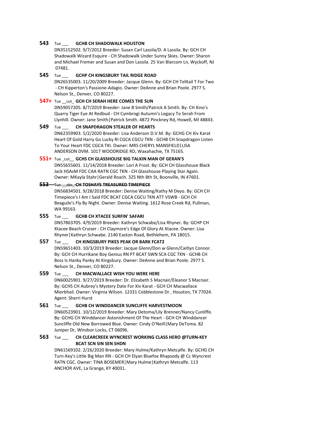### **543** Tue \_\_\_ **GCHB CH SHADOWALK HOUSTON**

DN35152502. 9/7/2012 Breeder: Susan Carl Lassila/D. A Lassila. By: GCH CH Shadowalk Wizard Esquire - CH Shadowalk Under Sunny Skies. Owner: Sharon and Michael Fremer and Susan and Don Lassila. 25 Van Blarcom Ln, Wyckoff, NJ 07481.

# **545** Tue \_\_\_ **GCHP CH KINGSBURY TAIL RIDGE ROAD**

DN26535003. 11/20/2009 Breeder: Jacque Glenn. By: GCH CH Telltail T For Two - CH Kipperton's Passione-Adagio. Owner: DeAnne and Brian Poole. 2977 S. Nelson St., Denver, CO 80227.

### **547+** Tue \_\_cut\_ **GCH CH SERAH HERE COMES THE SUN**

DN59057205. 8/7/2019 Breeder: Jane B Smith/Patrick A Smith. By: CH Kino's Quarry Tiger Eye At Redbud - CH Cymbrogi Autumn's Legacy To Serah From Llynhill. Owner: Jane Smith|Patrick Smith. 4872 Pinckney Rd, Howell, MI 48843.

# **549** Tue \_\_\_ **CH SNAPDRAGON STEALER OF HEARTS**

DN62359903. 5/2/2020 Breeder: Lisa Anderson D.V.M. By: GCHG CH Xiv Karat Heart Of Gold Harry Go Lucky RI CGCA CGCU TKN - GCHB CH Snapdragon Listen To Your Heart FDC CGCA TKI. Owner: MRS CHERYL MANSFIELD|LISA ANDERSON DVM. 1017 WOODRIDGE RD, Waxahachie, TX 75165.

# **551+** Tue \_cut\_\_ **GCHS CH GLASSHOUSE BIG TALKIN MAN OF GERAN'S**

DN55655601. 11/14/2018 Breeder: Lori A Frost. By: GCH CH Glasshouse Black Jack HSAsM FDC CAA RATN CGC TKN - CH Glasshouse Playing Star Again. Owner: MKayla Stahr|Gerald Roach. 325 Nth 8th St, Boonville, IN 47601.

# **553** Tue \_\_abs\_ **CH TOSHAYS TREASURED TIMEPIECE**

DN56834501. 9/28/2018 Breeder: Denise Waiting/Kathy M Deyo. By: GCH CH Timepiece's I Am I Said FDC BCAT CGCA CGCU TKN ATT VSWB - GCH CH Beaguile's Fly By Night. Owner: Denise Waiting. 1612 Rose Creek Rd, Pullman, WA 99163.

# **555** Tue \_\_\_ **GCHB CH XTACEE SURFIN' SAFARI**

DN57863705. 4/9/2019 Breeder: Kathryn Schwabe/Lisa Rhyner. By: GCHP CH Xtacee Beach Cruiser - CH Claymore's Edge Of Glory At Xtacee. Owner: Lisa Rhyner|Kathryn Schwabe. 2140 Easton Road, Bethlehem, PA 18015.

# **557** Tue \_\_\_ **CH KINGSBURY PIKES PEAK OR BARK FCAT2**

DN59651403. 10/3/2019 Breeder: Jacque Glenn/Don w Glenn/Caitlyn Connor. By: GCH CH Hurrikane Boy Genius RN PT BCAT SWN SCA CGC TKN - GCHB CH Boss Is Hanky Panky At Kingsbury. Owner: DeAnne and Brian Poole. 2977 S. Nelson St., Denver, CO 80227.

# **559** Tue \_\_\_ **CH MACWALLACE WISH YOU WERE HERE**

DN60025901. 9/27/2019 Breeder: Dr. Elizabeth S Macnair/Eleanor S Macnair. By: GCHS CH Aubrey's Mystery Date For Xiv Karat - GCH CH Macwallace Miorbhail. Owner: Virginia Wilson. 12331 Cobblestone Dr , Houston, TX 77024. Agent: Sherri Hurst

# **561** Tue \_\_\_ **GCHB CH WINDDANCER SUNCLIFFE HARVESTMOON**

DN60523901. 10/12/2019 Breeder: Mary Detoma/Lily Brenner/Nancy Cunliffe. By: GCHG CH Winddancer Astonishment Of The Heart - GCH CH Winddancer Suncliffe Old New Borrowed Blue. Owner: Cindy O'Neill|Mary DeToma. 82 Juniper Dr, Windsor Locks, CT 06096.

# **563** Tue \_\_\_ **CH CLEARCREEK WYNCREST WORKING CLASS HERO @TURN-KEY BCAT SCN SIN SEN SHDN**

DN61569102. 2/26/2020 Breeder: Mary Hulme/Kathryn Metcalfe. By: GCHG CH Turn-Key's Little Big Man RN - GCH CH Elyan Bluefox Rhapsody @ Cc Wyncrest RATN CGC. Owner: TINA BOSEMER|Mary Hulme|Kathryn Metcalfe. 113 ANCHOR AVE, La Grange, KY 40031.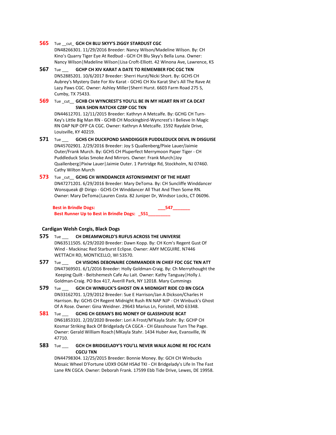# **565** Tue \_\_cut\_ **GCH CH BLU SKYY'S ZIGGY STARDUST CGC**

DN48266301. 11/29/2016 Breeder: Nancy Wilson/Madeline Wilson. By: CH Kino's Quarry Tiger Eye At Redbud - GCH CH Blu Skyy's Bella Luna. Owner: Nancy Wilson|Madeline Wilson|Lisa Croft-Elliott. 42 Winona Ave, Lawrence, KS

- **567** Tue \_\_\_ **GCHP CH XIV KARAT A DATE TO REMEMBER FDC CGC TKN** DN52885201. 10/6/2017 Breeder: Sherri Hurst/Nicki Short. By: GCHS CH Aubrey's Mystery Date For Xiv Karat - GCHG CH Xiv Karat She's All The Rave At Lazy Paws CGC. Owner: Ashley Miller|Sherri Hurst. 6603 Farm Road 275 S, Cumby, TX 75433.
- **569** Tue \_cut\_\_ **GCHB CH WYNCREST'S YOU'LL BE IN MY HEART RN HT CA DCAT SWA SHDN RATCHX CZ8P CGC TKN**

DN44612701. 12/11/2015 Breeder: Kathryn A Metcalfe. By: GCHG CH Turn-Key's Little Big Man RN - GCHB CH Mockingbird-Wyncrest's I Believe In Magic RN OAP NJP OFP CA CGC. Owner: Kathryn A Metcalfe. 1592 Raydale Drive, Louisville, KY 40219.

**571** Tue \_\_\_ **GCHS CH DUCKPOND SANDDIGGER PUDDLEDUCK DEVIL IN DISGUISE** DN45702901. 2/29/2016 Breeder: Joy S Quallenberg/Pixie Lauer/Jaimie Outer/Frank Murch. By: GCHS CH Pluperfect Merrymoon Paper Tiger - CH Puddleduck Solas Smoke And Mirrors. Owner: Frank Murch|Joy Quallenberg|Pixiw Lauer|Jaimie Outer. 1 Partridge Rd, Stockholm, NJ 07460. Cathy Wilton Murch

**573** Tue cut GCHG CH WINDDANCER ASTONISHMENT OF THE HEART DN47271201. 6/29/2016 Breeder: Mary DeToma. By: CH Suncliffe Winddancer Wonsqueak @ Dirigo - GCHS CH Winddancer All That And Then Some RN. Owner: Mary DeToma|Lauren Costa. 82 Juniper Dr, Windsor Locks, CT 06096.

**Best in Brindle Dogs: Basic Contract Contract Contract Contract Contract Contract Contract Contract Contract Contract Contract Contract Contract Contract Contract Contract Contract Contract Contract Contract Contract Co** Best Runner Up to Best in Brindle Dogs: \_551\_

# **Cardigan Welsh Corgis, Black Dogs**

- **575** Tue \_\_\_ **CH DREAMWORLD'S RUFUS ACROSS THE UNIVERSE** DN63511505. 6/29/2020 Breeder: Dawn Kopp. By: CH Kcm's Regent Gust Of Wind - Mackinac Red Starburst Eclipse. Owner: AMY MCGUIRE. N7446 WETTACH RD, MONTICELLO, WI 53570.
- **577** Tue **CH VISIONS DEBONAIRE COMMANDER IN CHIEF FDC CGC TKN ATT** DN47369501. 6/1/2016 Breeder: Holly Goldman-Craig. By: Ch Merrythought the Keeping Quilt - Beitshemesh Cafe Au Lait. Owner: Kathy Tanguay|Holly J. Goldman-Craig. PO Box 417, Averill Park, NY 12018. Mary Cummings
- **579** Tue \_\_\_ **GCH CH WINBUCK'S GHOST ON A MIDNIGHT RIDE CD BN CGCA** DN33162701. 1/29/2012 Breeder: Sue E Harrison/Jan A Dickson/Charles H Harrison. By: GCHS CH Regent Midnight Rush RN NAP NJP - CH Winbuck's Ghost Of A Rose. Owner: Gina Weidner. 29643 Marius Ln, Foristell, MO 63348.
- **581** Tue \_\_\_ **GCHG CH GERAN'S BIG MONEY OF GLASSHOUSE BCAT** DN61853101. 2/20/2020 Breeder: Lori A Frost/M'Kayla Stahr. By: GCHP CH Kosmar Striking Back Of Bridgelady CA CGCA - CH Glasshouse Turn The Page. Owner: Gerald William Roach|MKayla Stahr. 1434 Huber Ave, Evansville, IN 47710.
- **583** Tue \_\_\_ **GCH CH BRIDGELADY'S YOU'LL NEVER WALK ALONE RE FDC FCAT4 CGCU TKN**

DN44798304. 12/25/2015 Breeder: Bonnie Money. By: GCH CH Winbucks Mosaic Wheel D'Fortune UDX9 OGM HSAd TKI - CH Bridgelady's Life In The Fast Lane RN CGCA. Owner: Deborah Frank. 17599 Ebb Tide Drive, Lewes, DE 19958.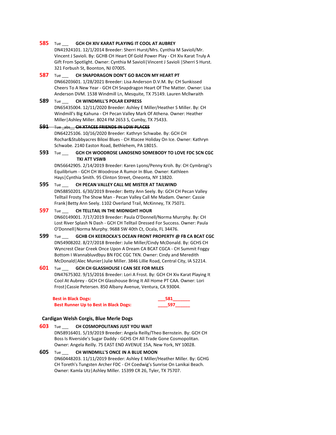### **585** Tue \_\_\_ **GCH CH XIV KARAT PLAYING IT COOL AT AUBREY**

DN41924101. 12/1/2014 Breeder: Sherri Hurst/Mrs. Cynthia M Savioli/Mr. Vincent J Savioli. By: GCHB CH Heart Of Gold Power Play - CH Xiv Karat Truly A Gift From Spotlight. Owner: Cynthia M Savioli|Vincent J Savioli |Sherri S Hurst. 321 Forbush St, Boonton, NJ 07005.

# **587** Tue \_\_\_ **CH SNAPDRAGON DON'T GO BACON MY HEART PT**

DN66203601. 1/28/2021 Breeder: Lisa Anderson D.V.M. By: CH Sunkissed Cheers To A New Year - GCH CH Snapdragon Heart Of The Matter. Owner: Lisa Anderson DVM. 1538 Windmill Ln, Mesquite, TX 75149. Lauren Mcllwraith

# **589** Tue \_\_\_ **CH WINDMILL'S POLAR EXPRESS**

DN65435004. 12/11/2020 Breeder: Ashley E Miller/Heather S Miller. By: CH Windmill's Big Kahuna - CH Pecan Valley Mark Of Athena. Owner: Heather Miller|Ashley Miller. 8024 FM 2653 S, Cumby, TX 75433.

# **591** Tue \_abs\_\_ **CH XTACEE FRIENDS IN LOW PLACES**

DN64225106. 10/16/2020 Breeder: Kathryn Schwabe. By: GCH CH Rochar&Stubbyacres Biloxi Blues - CH Xtacee Holiday On Ice. Owner: Kathryn Schwabe. 2140 Easton Road, Bethlehem, PA 18015.

# **593** Tue \_\_\_ **GCH CH WOODROSE LANDSEND SOMEBODY TO LOVE FDC SCN CGC TKI ATT VSWB**

DN56642905. 2/14/2019 Breeder: Karen Lyons/Penny Kroh. By: CH Cymbrogi's Equilibrium - GCH CH Woodrose A Rumor In Blue. Owner: Kathleen Hays|Cynthia Smith. 95 Clinton Street, Oneonta, NY 13820.

# **595** Tue \_\_\_ **CH PECAN VALLEY CALL ME MISTER AT TAILWIND**

DN58850201. 6/30/2019 Breeder: Betty Ann Seely. By: GCH CH Pecan Valley Telltail Frosty The Show Man - Pecan Valley Call Me Madam. Owner: Cassie Frank|Betty Ann Seely. 1102 Overland Trail, McKinney, TX 75071.

# **597** Tue \_\_\_ **CH TELLTAIL IN THE MIDNIGHT HOUR**

DN60149001. 7/17/2019 Breeder: Paula O'Donnell/Norma Murrphy. By: CH Lost River Splash N Dash - GCH CH Telltail Dressed For Success. Owner: Paula O'Donnell|Norma Murphy. 9688 SW 40th Ct, Ocala, FL 34476.

# **599** Tue \_\_\_ **GCHB CH KEEROCKA'S OCEAN FRONT PROPERTY @ FB CA BCAT CGC** DN54908202. 8/27/2018 Breeder: Julie Miller/Cindy McDonald. By: GCHS CH Wyncrest Clear Creek Once Upon A Dream CA BCAT CGCA - CH Summit Foggy Bottom I Wannabluvdbyu BN FDC CGC TKN. Owner: Cindy and Meredith McDonald|Alec Munier|Julie Miller. 3846 Lillie Road, Central City, IA 52214.

# **601** Tue \_\_\_ **GCH CH GLASSHOUSE I CAN SEE FOR MILES** DN47675302. 9/15/2016 Breeder: Lori A Frost. By: GCH CH Xiv Karat Playing It Cool At Aubrey - GCH CH Glasshouse Bring It All Home PT CAA. Owner: Lori

Frost|Cassie Petersen. 850 Albany Avenue, Ventura, CA 93004. **Best in Black Dogs:** 

| ۰. |  |
|----|--|
|    |  |

# **Cardigan Welsh Corgis, Blue Merle Dogs**

**Best Runner Up to Best in Black Dogs:** 

# **603** Tue \_\_\_ **CH COSMOPOLITANS JUST YOU WAIT** DN58916401. 5/19/2019 Breeder: Angela Reilly/Theo Bernstein. By: GCH CH Boss Is Riverside's Sugar Daddy - GCHS CH All Trade Gone Cosmopolitan. Owner: Angela Reilly. 75 EAST END AVENUE 15A, New York, NY 10028.

**605** Tue \_\_\_ **CH WINDMILL'S ONCE IN A BLUE MOON** DN60448203. 11/11/2019 Breeder: Ashley E Miller/Heather Miller. By: GCHG CH Toreth's Tungsten Archer FDC - CH Coedwig's Sunrise On Lanikai Beach. Owner: Kamla Utz|Ashley Miller. 15399 CR 26, Tyler, TX 75707.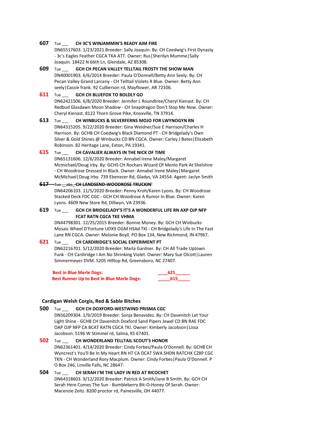### **607** Tue \_\_\_ **CH 3C'S WINJAMMIN'S READY AIM FIRE**

DN65517603. 1/23/2021 Breeder: Sally Joaquin. By: CH Coedwig's First Dynasty - 3c's Eagles Feather CGCA TKA ATT. Owner: Rus|Sherilyn Mumme|Sally Joaquin. 18422 N 66th Ln, Glendale, AZ 85308.

**609** Tue \_\_\_ **GCH CH PECAN VALLEY TELLTAIL FROSTY THE SHOW MAN** DN40001903. 6/6/2014 Breeder: Paula O'Donnell/Betty Ann Seely. By: CH Pecan Valley Grand Larceny - CH Telltail Violets R Blue. Owner: Betty Ann seely|Cassie frank. 92 Culberson rd, Mayflower, AR 72106.

# **611** Tue \_\_\_ **GCH CH BLUEFOX TO BOLDLY GO**

DN62421506. 6/8/2020 Breeder: Jennifer L Roundtree/Cheryl Kienast. By: CH Redbud Glasdawn Moon Shadow - CH Snapdragon Don't Stop Me Now. Owner: Cheryl Kienast. 8122 Thorn Grove Pike, Knoxville, TN 37914.

**613** Tue \_\_\_ **CH WINBUCKS & SILVERFERNS MOJO FOR LWYNOGYN RN** DN64315205. 9/22/2020 Breeder: Gina Weidner/Sue E Harrison/Charles H Harrison. By: GCHB CH Coedwig's Black Diamond PT - CH Bridgelady's Own Silver & Gold Shines @ Winbucks CD BN CGCA. Owner: Carley J Bates|Elizabeth Robinson. 82 Heritage Lane, Exton, PA 19341.

# **615** Tue **CH CAVALIER ALWAYS IN THE NICK OF TIME**

DN65131606. 12/6/2020 Breeder: Annabel Irene Maley/Margaret Mcmichael/Doug Irby. By: GCHS CH Rochars Wizard Of Menlo Park At Shelshire - CH Woodrose Dressed In Black. Owner: Annabel Irene Maley|Margaret McMichael|Doug Irby. 739 Ebenezer Rd, Gladys, VA 24554. Agent: Jaclyn Smith

# **617** Tue \_\_abs\_ **CH LANDSEND-WOODROSE TRUCKIN'**

DN64206103. 11/5/2020 Breeder: Penny Kroh/Karen Lyons. By: CH Woodrose Stacked Deck FDC CGC - GCH CH Woodrose A Rumor In Blue. Owner: Karen Lyons. 4609 New Store Rd, Dillwyn, VA 23936.

# **619** Tue \_\_\_ **GCH CH BRIDGELADY'S IT'S A WONDERFUL LIFE RN AXP OJP NFP FCAT RATN CGCA TKE VHMA**

DN44798301. 12/25/2015 Breeder: Bonnie Money. By: GCH CH Winbucks Mosaic Wheel D'Fortune UDX9 OGM HSAd TKI - CH Bridgelady's Life In The Fast Lane RN CGCA. Owner: Melonie Boyll. PO Box 134, New Richmond, IN 47967.

### **621** Tue \_\_\_ **CH CARDIRIDGE'S SOCIAL EXPERIMENT PT**

DN62216701. 5/12/2020 Breeder: Marla Gardner. By: CH All Trade Uptown Funk - CH Cardiridge I Am No Shrinking Violet. Owner: Mary Sue Olcott|Lauren Simmermeyer DVM. 5205 Hilltop Rd, Greensboro, NC 27407.

**Best in Blue Merle Dogs: Best in Blue Merle Dogs: 621** Best Runner Up to Best in Blue Merle Dogs: 615

### **Cardigan Welsh Corgis, Red & Sable Bitches**

### **500** Tue \_\_\_ **GCH CH DOXFORD-WESTWIND PRISMA CGC**

DN56209304. 1/9/2019 Breeder: Sonja Benavidez. By: CH Davenitch Let Your Light Shine - GCHB CH Davenitch Doxford Sand Pipers Jewel CD BN RAE FDC OAP OJP NFP CA BCAT RATN CGCA TKI. Owner: Kimberly Jacobson|Lissa Jacobson. 5196 W Stimmel rd, Salina, KS 67401.

**502** Tue \_\_\_ **CH WONDERLAND TELLTAIL SCOUT'S HONOR** DN62361401. 4/14/2020 Breeder: Cindy Forbes/Paula O'Donnell. By: GCHB CH Wyncrest's You'll Be In My Heart RN HT CA DCAT SWA SHDN RATCHX CZ8P CGC TKN - CH Wonderland Rory Macplum. Owner: Cindy Forbes|Paula O'Donnell. P O Box 246, Linville Falls, NC 28647.

**504** Tue \_\_\_ **CH SERAH I'M THE LADY IN RED AT RICOCHET** DN64318603. 9/12/2020 Breeder: Patrick A Smith/Jane B Smith. By: GCH CH Serah Here Comes The Sun - Bumbleberry Bit-O-Honey Of Serah. Owner: Macenzie Zeitz. 8200 proctor rd, Painesville, OH 44077.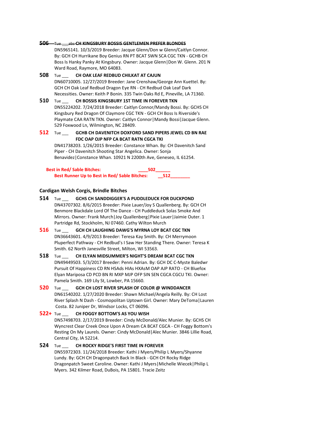### **506** Tue \_\_\_abs **CH KINGSBURY BOSSIS GENTLEMEN PREFER BLONDES**

DN5965141. 10/3/2019 Breeder: Jacque Glenn/Don w Glenn/Caitlyn Connor. By: GCH CH Hurrikane Boy Genius RN PT BCAT SWN SCA CGC TKN - GCHB CH Boss Is Hanky Panky At Kingsbury. Owner: Jacque Glenn|Don W. Glenn. 201 N Ward Road, Raymore, MO 64083.

**508** Tue \_\_\_ **CH OAK LEAF REDBUD CHILKAT AT CAJUN** DN60710005. 12/27/2019 Breeder: Jane Crenshaw/George Ann Kuettel. By: GCH CH Oak Leaf Redbud Dragon Eye RN - CH Redbud Oak Leaf Dark Necessities. Owner: Keith P Bonin. 335 Twin Oaks Rd E, Pineville, LA 71360.

# **510** Tue \_\_\_ **CH BOSSIS KINGSBURY 1ST TIME IN FOREVER TKN**

DN55224202. 7/24/2018 Breeder: Caitlyn Connor/Mandy Bossi. By: GCHS CH Kingsbury Red Dragon Of Claymore CGC TKN - GCH CH Boss Is Riverside's Playmate CAA RATN TKN. Owner: Caitlyn Connor|Mandy Bossi|Jacque Glenn. 529 Foxwood Ln, Wilmington, NC 28409.

# **512** Tue \_\_\_ **GCHB CH DAVENITCH DOXFORD SAND PIPERS JEWEL CD BN RAE FDC OAP OJP NFP CA BCAT RATN CGCA TKI**

DN41738203. 1/26/2015 Breeder: Constance Whan. By: CH Davenitch Sand Piper - CH Davenitch Shooting Star Angelica. Owner: Sonja Benavidez|Constance Whan. 10921 N 2200th Ave, Geneseo, IL 61254.

**Best in Red/ Sable Bitches: 2022** Best Runner Up to Best in Red/ Sable Bitches: 512

### **Cardigan Welsh Corgis, Brindle Bitches**

- **514** Tue \_\_\_ **GCHS CH SANDDIGGER'S A PUDDLEDUCK FOR DUCKPOND** DN43707302. 8/6/2015 Breeder: Pixie Lauer/Joy S Quallenberg. By: GCH CH Benmore Blackdale Lord Of The Dance - CH Puddleduck Solas Smoke And Mirrors. Owner: Frank Murch|Joy Quallenberg|Pixie Lauer|Jaimie Outer. 1 Partridge Rd, Stockholm, NJ 07460. Cathy Wilton Murch
- **516** Tue \_\_\_ **GCH CH LAUGHING DAWG'S MYRNA LOY BCAT CGC TKN** DN36643601. 4/9/2013 Breeder: Teresa Kay Smith. By: CH Merrymoon Pluperfect Pathway - CH Redbud's I Saw Her Standing There. Owner: Teresa K Smith. 62 North Janesville Street, Milton, WI 53563.

# **518** Tue \_\_\_ **CH ELYAN MIDSUMMER'S NIGHT'S DREAM BCAT CGC TKN** DN49449503. 5/3/2017 Breeder: Penni Adrian. By: GCH DC C-Myste Baledwr Pursuit Of Happiness CD RN HSAds HIAs HXAsM OAP AJP RATO - CH Bluefox Elyan Mariposa CD PCD BN RI MXP MJP OFP SIN SEN CGCA CGCU TKI. Owner: Pamela Smith. 169 Lily St, Lowber, PA 15660.

# **520** Tue \_\_\_ **GCH CH LOST RIVER SPLASH OF COLOR @ WINDDANCER** DN61540202. 1/27/2020 Breeder: Shawn Michael/Angela Reilly. By: CH Lost River Splash N Dash - Cosmopolitan Uptown Girl. Owner: Mary DeToma|Lauren Costa. 82 Juniper Dr, Windsor Locks, CT 06096.

### **522+** Tue \_\_\_ **CH FOGGY BOTTOM'S AS YOU WISH**

DN57498703. 2/17/2019 Breeder: Cindy McDonald/Alec Munier. By: GCHS CH Wyncrest Clear Creek Once Upon A Dream CA BCAT CGCA - CH Foggy Bottom's Resting On My Laurels. Owner: Cindy McDonald|Alec Munier. 3846 Lillie Road, Central City, IA 52214.

### **524** Tue \_\_\_ **CH ROCKY RIDGE'S FIRST TIME IN FOREVER**

DN55972303. 11/24/2018 Breeder: Kathi J Myers/Philip L Myers/Shyanne Lundy. By: GCH CH Dragonpatch Back In Black - GCH CH Rocky Ridge Dragonpatch Sweet Caroline. Owner: Kathi J Myers|Michelle Wiecek|Philip L Myers. 342 Kilmer Road, DuBois, PA 15801. Tracie Zeitz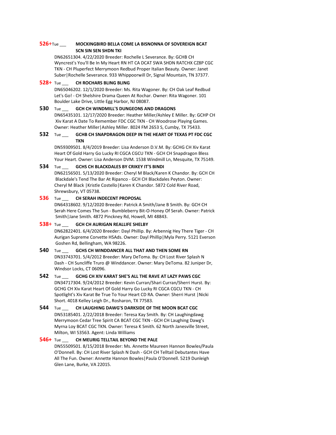# **526**+Tue \_\_\_ **MOCKINGBIRD BELLA COME LA BISNONNA OF SOVEREIGN BCAT SCN SIN SEN SHDN TKI**

DN62651304. 4/22/2020 Breeder: Rochelle L Severance. By: GCHB CH Wyncrest's You'll Be In My Heart RN HT CA DCAT SWA SHDN RATCHX CZ8P CGC TKN - CH Pluperfect Merrymoon Redbud Proper Italian Beauty. Owner: Janet Suber|Rochelle Severance. 933 Whippoorwill Dr, Signal Mountain, TN 37377.

# **528**+ Tue \_\_\_ **CH ROCHARS BLING BLING**

DN65046202. 12/1/2020 Breeder: Ms. Rita Wagoner. By: CH Oak Leaf Redbud Let's Go! - CH Shelshire Drama Queen At Rochar. Owner: Rita Wagoner. 101 Boulder Lake Drive, Little Egg Harbor, NJ 08087.

# **530** Tue \_\_\_ **GCH CH WINDMILL'S DUNGEONS AND DRAGONS**

DN65435101. 12/17/2020 Breeder: Heather Miller/Ashley E Miller. By: GCHP CH Xiv Karat A Date To Remember FDC CGC TKN - CH Woodrose Playing Games. Owner: Heather Miller|Ashley Miller. 8024 FM 2653 S, Cumby, TX 75433.

# **532** Tue \_\_\_ **GCHB CH SNAPDRAGON DEEP IN THE HEART OF TEXAS PT FDC CGC TKN**

DN59309501. 8/4/2019 Breeder: Lisa Anderson D.V.M. By: GCHG CH Xiv Karat Heart Of Gold Harry Go Lucky RI CGCA CGCU TKN - GCH CH Snapdragon Bless Your Heart. Owner: Lisa Anderson DVM. 1538 Windmill Ln, Mesquite, TX 75149.

# **534** Tue \_\_\_ **GCHS CH BLACKDALES BY CRIKEY IT'S BINDI**

DN62156501. 5/13/2020 Breeder: Cheryl M Black/Karen K Chandor. By: GCH CH Blackdale's Tend The Bar At Ripanco - GCH CH Blackdales Peyton. Owner: Cheryl M Black |Kristle Costello|Karen K Chandor. 5872 Cold River Road, Shrewsbury, VT 05738.

# **536** Tue \_\_\_ **CH SERAH INDECENT PROPOSAL**

DN64318602. 9/12/2020 Breeder: Patrick A Smith/Jane B Smith. By: GCH CH Serah Here Comes The Sun - Bumbleberry Bit-O-Honey Of Serah. Owner: Patrick Smith|Jane Smith. 4872 Pinckney Rd, Howell, MI 48843.

# **538**+ Tue \_\_\_ **GCH CH AURIGAN REALLIFE SHELBY**

DN62822401. 6/4/2020 Breeder: Dayl Phillip. By: Arbennig Hey There Tiger - CH Aurigan Supreme Corvette HSAds. Owner: Dayl Phillip|Myla Perry. 5121 Everson Goshen Rd, Bellingham, WA 98226.

# **540** Tue \_\_\_ **GCHS CH WINDDANCER ALL THAT AND THEN SOME RN**

DN33743701. 5/4/2012 Breeder: Mary DeToma. By: CH Lost River Splash N Dash - CH Suncliffe Truro @ Winddancer. Owner: Mary DeToma. 82 Juniper Dr, Windsor Locks, CT 06096.

**542** Tue \_\_\_ **GCHG CH XIV KARAT SHE'S ALL THE RAVE AT LAZY PAWS CGC** DN34717304. 9/24/2012 Breeder: Kevin Curran/Shari Curran/Sherri Hurst. By: GCHG CH Xiv Karat Heart Of Gold Harry Go Lucky RI CGCA CGCU TKN - CH Spotlight's Xiv Karat Be True To Your Heart CD RA. Owner: Sherri Hurst |Nicki Short. 4018 Kelley Leigh Dr., Rosharon, TX 77583.

# **544** Tue \_\_\_ **CH LAUGHING DAWG'S DARKSIDE OF THE MOON BCAT CGC** DN53185401. 2/22/2018 Breeder: Teresa Kay Smith. By: CH Laughingdawg Merrymoon Cedar Tree Spirit CA BCAT CGC TKN - GCH CH Laughing Dawg's Myrna Loy BCAT CGC TKN. Owner: Teresa K Smith. 62 North Janesville Street, Milton, WI 53563. Agent: Linda Williams

# **546+** Tue \_\_\_ **CH MEURIG TELLTAIL BEYOND THE PALE** DN55509501. 8/15/2018 Breeder: Ms. Annette Maureen Hannon Bowles/Paula O'Donnell. By: CH Lost River Splash N Dash - GCH CH Telltail Debutantes Have All The Fun. Owner: Annette Hannon Bowles|Paula O'Donnell. 5219 Dunleigh Glen Lane, Burke, VA 22015.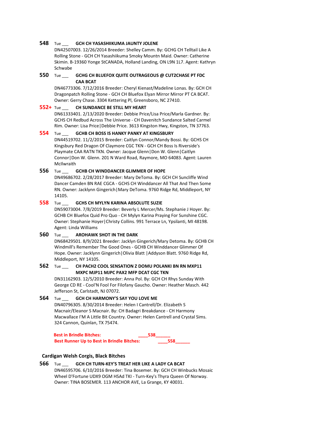### **548** Tue \_\_\_ **GCH CH YASASHIIKUMA JAUNTY JOLENE**

DN42507003. 12/26/2014 Breeder: Shelley Camm. By: GCHG CH Telltail Like A Rolling Stone - GCH CH Yasashiikuma Smoky Mountn Maid. Owner: Catherine Skimin. B-19360 Yonge StCANADA, Holland Landing, ON L9N 1L7. Agent: Kathryn Schwabe

# **550** Tue \_\_\_ **GCHG CH BLUEFOX QUITE OUTRAGEOUS @ CUT2CHASE PT FDC CAA BCAT**

DN46773306. 7/12/2016 Breeder: Cheryl Kienast/Madeline Lonas. By: GCH CH Dragonpatch Rolling Stone - GCH CH Bluefox Elyan Mirror Mirror PT CA BCAT. Owner: Gerry Chase. 3304 Kettering Pl, Greensboro, NC 27410.

### **552+** Tue \_\_\_ **CH SUNDANCE BE STILL MY HEART**

DN61333401. 2/13/2020 Breeder: Debbie Price/Lisa Price/Marla Gardner. By: GCHS CH Redbud Across The Universe - CH Davenitch Sundance Salted Carmel Rim. Owner: Lisa Price|Debbie Price. 3613 Kingston Hwy, Kingston, TN 37763.

# **554** Tue \_\_\_ **GCHB CH BOSS IS HANKY PANKY AT KINGSBURY**

DN44519702. 11/2/2015 Breeder: Caitlyn Connor/Mandy Bossi. By: GCHS CH Kingsbury Red Dragon Of Claymore CGC TKN - GCH CH Boss Is Riverside's Playmate CAA RATN TKN. Owner: Jacque Glenn|Don W. Glenn|Caitlyn Connor|Don W. Glenn. 201 N Ward Road, Raymore, MO 64083. Agent: Lauren McIlwraith

# **556** Tue \_\_\_ **GCHB CH WINDDANCER GLIMMER OF HOPE**

DN49686702. 2/28/2017 Breeder: Mary DeToma. By: GCH CH Suncliffe Wind Dancer Camden BN RAE CGCA - GCHS CH Winddancer All That And Then Some RN. Owner: Jacklynn Gingerich|Mary DeToma. 9760 Ridge Rd, Middleport, NY 14105.

# **558** Tue \_\_\_ **GCHS CH MYLYN KARINA ABSOLUTE SUZIE**

DN59073004. 7/8/2019 Breeder: Beverly L Mercer/Ms. Stephanie J Hoyer. By: GCHB CH Bluefox Quid Pro Quo - CH Mylyn Karina Praying For Sunshine CGC. Owner: Stephanie Hoyer|Christy Collins. 991 Terrace Ln, Ypsilanti, MI 48198. Agent: Linda Williams

### **560** Tue \_\_\_ **AROHAWK SHOT IN THE DARK**

DN68429501. 8/9/2021 Breeder: Jacklyn Gingerich/Mary Detoma. By: GCHB CH Windmill's Remember The Good Ones - GCHB CH Winddancer Glimmer Of Hope. Owner: Jacklynn Gingerich|Olivia Blatt |Addyson Blatt. 9760 Ridge Rd, Middleport, NY 14105.

# **562** Tue \_\_\_ **CH PACH2 COOL SENSATION Z DOMU POLANKI BN RN MXP11 MXPC MJP11 MJPC PAX2 MFP DCAT CGC TKN**

DN31162903. 12/5/2010 Breeder: Anna Pol. By: GCH CH Rhys Sunday With George CD RE - Cool'N Fool For Filofany Gaucho. Owner: Heather Masch. 442 Jefferson St, Carlstadt, NJ 07072.

# **564** Tue \_\_\_ **GCH CH HARMONY'S SAY YOU LOVE ME**

DN40796305. 8/30/2014 Breeder: Helen I Cantrell/Dr. Elizabeth S Macnair/Eleanor S Macnair. By: CH Badagri Breakdance - CH Harmony Macwallace I'M A Little Bit Country. Owner: Helen Cantrell and Crystal Sims. 324 Cannon, Quinlan, TX 75474.

**Best in Brindle Bitches: \_\_\_\_538\_\_\_\_\_\_ Best Runner Up to Best in Brindle Bitches: \_\_\_\_558\_\_\_\_\_\_**

# **Cardigan Welsh Corgis, Black Bitches**

**566** Tue \_\_\_ **GCH CH TURN-KEY'S TREAT HER LIKE A LADY CA BCAT** DN46595706. 6/10/2016 Breeder: Tina Bosemer. By: GCH CH Winbucks Mosaic Wheel D'Fortune UDX9 OGM HSAd TKI - Turn-Key's Thyra Queen Of Norway. Owner: TINA BOSEMER. 113 ANCHOR AVE, La Grange, KY 40031.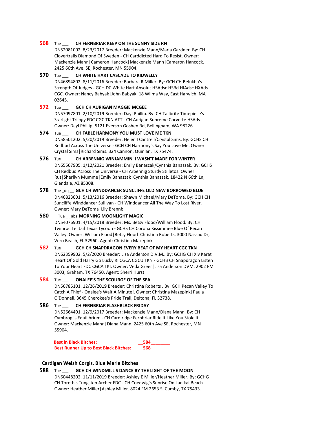### **568** Tue \_\_\_ **CH FERNBRIAR KEEP ON THE SUNNY SIDE RN**

DN52081002. 8/23/2017 Breeder: Mackenzie Mann/Marla Gardner. By: CH Clovertrails Diamond Of Sweden - CH Carddicted Hard To Resist. Owner: Mackenzie Mann|Cameron Hancock|Mackenzie Mann|Cameron Hancock. 2425 60th Ave. SE, Rochester, MN 55904.

### **570** Tue \_\_\_ **CH WHITE HART CASCADE TO KIDWELLY**

DN46894802. 8/11/2016 Breeder: Barbara R Miller. By: GCH CH Belukha's Strength Of Judges - GCH DC White Hart Absolut HSAdsc HSBd HIAdsc HXAds CGC. Owner: Nancy Babyak|John Babyak. 18 Wilma Way, East Harwich, MA 02645.

# **572** Tue \_\_\_ **GCH CH AURIGAN MAGGIE MCGEE**

DN57097801. 2/10/2019 Breeder: Dayl Phillip. By: CH Tailbrite Timepiece's Starlight Trilogy FDC CGC TKN ATT - CH Aurigan Supreme Corvette HSAds. Owner: Dayl Phillip. 5121 Everson Goshen Rd, Bellingham, WA 98226.

# **574** Tue \_\_\_ **CH FABLE HARMONY YOU MUST LOVE ME TKN** DN58501202. 5/20/2019 Breeder: Helen I Cantrell/Crystal Sims. By: GCHS CH Redbud Across The Universe - GCH CH Harmony's Say You Love Me. Owner: Crystal Sims|Richard Sims. 324 Cannon, Quinlan, TX 75474.

# **576** Tue \_\_\_ **CH ARBENNIG WINJAMMIN' I WASN'T MADE FOR WINTER** DN65567905. 1/12/2021 Breeder: Emily Banaszak/Cynthia Banaszak. By: GCHS CH Redbud Across The Universe - CH Arbennig Sturdy Stilletos. Owner: Rus|Sherilyn Mumme|Emily Banaszak|Cynthia Banaszak. 18422 N 66th Ln, Glendale, AZ 85308.

**578** Tue \_dq \_\_ **GCH CH WINDDANCER SUNCLIFFE OLD NEW BORROWED BLUE** DN46823001. 5/13/2016 Breeder: Shawn Michael/Mary DeToma. By: GCH CH Suncliffe Winddancer Sullivan - CH Winddancer All The Way To Lost River. Owner: Mary DeToma|Lily Brennb

# **580** Tue abs **MORNING MOONLIGHT MAGIC**

DN54076901. 4/15/2018 Breeder: Ms. Betsy Flood/William Flood. By: CH Twinroc Telltail Texas Tycoon - GCHS CH Corona Kissimmee Blue Of Pecan Valley. Owner: William Flood|Betsy Flood|Christina Roberts. 3000 Nassau Dr, Vero Beach, FL 32960. Agent: Christina Mazepink

# **582** Tue \_\_\_ **GCH CH SNAPDRAGON EVERY BEAT OF MY HEART CGC TKN** DN62359902. 5/2/2020 Breeder: Lisa Anderson D.V.M.. By: GCHG CH Xiv Karat Heart Of Gold Harry Go Lucky RI CGCA CGCU TKN - GCHB CH Snapdragon Listen To Your Heart FDC CGCA TKI. Owner: Veda Greer|Lisa Anderson DVM. 2902 FM 3003, Graham, TX 76450. Agent: Sherri Hurst

# **584** Tue \_\_\_ **ONALEE'S THE SCOURGE OF THE SEA** DN56785101. 12/26/2019 Breeder: Christina Roberts . By: GCH Pecan Valley To

Catch A Thief - Onalee's Wait A Minute!. Owner: Christina Mazepink|Paula O'Donnell. 3645 Cherokee's Pride Trail, Deltona, FL 32738.

# **586** Tue \_\_\_ **CH FERNBRIAR FLASHBLACK FRIDAY** DN52664401. 12/9/2017 Breeder: Mackenzie Mann/Diana Mann. By: CH Cymbrogi's Equilibrium - CH Cardiridge Fernbriar Ride It Like You Stole It. Owner: Mackenzie Mann|Diana Mann. 2425 60th Ave SE, Rochester, MN 55904.

# **Best in Black Bitches: \_\_584\_\_\_\_\_\_\_\_ Best Runner Up to Best Black Bitches: \_\_568\_\_\_\_\_\_\_\_**

# **Cardigan Welsh Corgis, Blue Merle Bitches**

# **588** Tue \_\_\_ **GCH CH WINDMILL'S DANCE BY THE LIGHT OF THE MOON** DN60448202. 11/11/2019 Breeder: Ashley E Miller/Heather Miller. By: GCHG CH Toreth's Tungsten Archer FDC - CH Coedwig's Sunrise On Lanikai Beach. Owner: Heather Miller|Ashley Miller. 8024 FM 2653 S, Cumby, TX 75433.